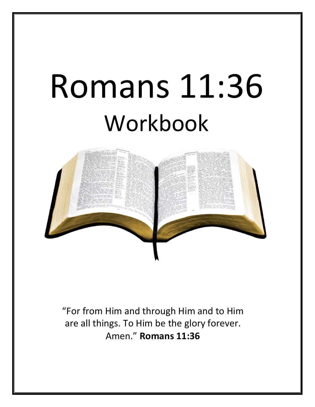# Romans 11:36 Workbook



"For from Him and through Him and to Him are all things. To Him be the glory forever. Amen." **Romans 11:36**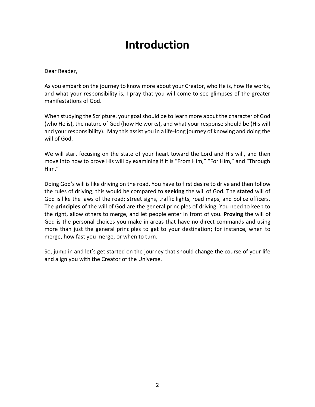### **Introduction**

Dear Reader,

As you embark on the journey to know more about your Creator, who He is, how He works, and what your responsibility is, I pray that you will come to see glimpses of the greater manifestations of God.

When studying the Scripture, your goal should be to learn more about the character of God (who He is), the nature of God (how He works), and what your response should be (His will and your responsibility). May this assist you in a life-long journey of knowing and doing the will of God.

We will start focusing on the state of your heart toward the Lord and His will, and then move into how to prove His will by examining if it is "From Him," "For Him," and "Through Him."

Doing God's will is like driving on the road. You have to first desire to drive and then follow the rules of driving; this would be compared to **seeking** the will of God. The **stated** will of God is like the laws of the road; street signs, traffic lights, road maps, and police officers. The **principles** of the will of God are the general principles of driving. You need to keep to the right, allow others to merge, and let people enter in front of you. **Proving** the will of God is the personal choices you make in areas that have no direct commands and using more than just the general principles to get to your destination; for instance, when to merge, how fast you merge, or when to turn.

So, jump in and let's get started on the journey that should change the course of your life and align you with the Creator of the Universe.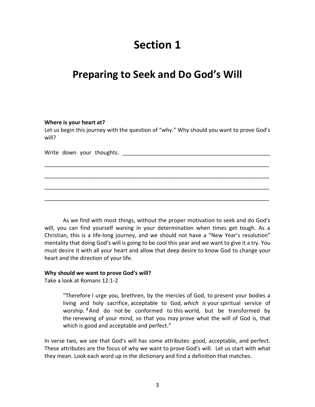### **Section 1**

### **Preparing to Seek and Do God's Will**

#### **Where is your heart at?**

Let us begin this journey with the question of "why." Why should you want to prove God's will?

\_\_\_\_\_\_\_\_\_\_\_\_\_\_\_\_\_\_\_\_\_\_\_\_\_\_\_\_\_\_\_\_\_\_\_\_\_\_\_\_\_\_\_\_\_\_\_\_\_\_\_\_\_\_\_\_\_\_\_\_\_\_\_\_\_\_\_\_\_\_\_\_\_

\_\_\_\_\_\_\_\_\_\_\_\_\_\_\_\_\_\_\_\_\_\_\_\_\_\_\_\_\_\_\_\_\_\_\_\_\_\_\_\_\_\_\_\_\_\_\_\_\_\_\_\_\_\_\_\_\_\_\_\_\_\_\_\_\_\_\_\_\_\_\_\_\_

\_\_\_\_\_\_\_\_\_\_\_\_\_\_\_\_\_\_\_\_\_\_\_\_\_\_\_\_\_\_\_\_\_\_\_\_\_\_\_\_\_\_\_\_\_\_\_\_\_\_\_\_\_\_\_\_\_\_\_\_\_\_\_\_\_\_\_\_\_\_\_\_\_

\_\_\_\_\_\_\_\_\_\_\_\_\_\_\_\_\_\_\_\_\_\_\_\_\_\_\_\_\_\_\_\_\_\_\_\_\_\_\_\_\_\_\_\_\_\_\_\_\_\_\_\_\_\_\_\_\_\_\_\_\_\_\_\_\_\_\_\_\_\_\_\_\_

|  |  |  | Write down your thoughts. |  |
|--|--|--|---------------------------|--|
|--|--|--|---------------------------|--|

As we find with most things, without the proper motivation to seek and do God's will, you can find yourself waning in your determination when times get tough. As a Christian, this is a life-long journey, and we should not have a "New Year's resolution" mentality that doing God's will is going to be cool this year and we want to give it a try. You must desire it with all your heart and allow that deep desire to know God to change your heart and the direction of your life.

#### **Why should we want to prove God's will?**

Take a look at Romans 12:1-2

"Therefore I urge you, brethren, by the mercies of God, to present your bodies a living and holy sacrifice, acceptable to God, *which is* your spiritual service of worship. **<sup>2</sup>**And do not be conformed to this world, but be transformed by the renewing of your mind, so that you may prove what the will of God is, that which is good and acceptable and perfect."

In verse two, we see that God's will has some attributes: good, acceptable, and perfect. These attributes are the focus of why we want to prove God's will. Let us start with what they mean. Look each word up in the dictionary and find a definition that matches.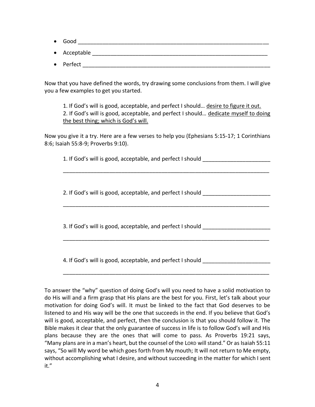- $\bullet$  Good  $\bullet$  Good  $\bullet$  and  $\bullet$  and  $\bullet$  and  $\bullet$  and  $\bullet$  and  $\bullet$  and  $\bullet$  and  $\bullet$  and  $\bullet$  and  $\bullet$  and  $\bullet$  and  $\bullet$  and  $\bullet$  and  $\bullet$  and  $\bullet$  and  $\bullet$  and  $\bullet$  and  $\bullet$  and  $\bullet$  and  $\bullet$  and  $\bullet$  and  $\bullet$  and  $\bullet$
- Acceptable \_\_\_\_\_\_\_\_\_\_\_\_\_\_\_\_\_\_\_\_\_\_\_\_\_\_\_\_\_\_\_\_\_\_\_\_\_\_\_\_\_\_\_\_\_\_\_\_\_\_\_\_\_\_\_\_\_
- Perfect  $\blacksquare$

Now that you have defined the words, try drawing some conclusions from them. I will give you a few examples to get you started.

1. If God's will is good, acceptable, and perfect I should… desire to figure it out. 2. If God's will is good, acceptable, and perfect I should… dedicate myself to doing the best thing; which is God's will.

\_\_\_\_\_\_\_\_\_\_\_\_\_\_\_\_\_\_\_\_\_\_\_\_\_\_\_\_\_\_\_\_\_\_\_\_\_\_\_\_\_\_\_\_\_\_\_\_\_\_\_\_\_\_\_\_\_\_\_\_\_\_\_\_\_\_\_

\_\_\_\_\_\_\_\_\_\_\_\_\_\_\_\_\_\_\_\_\_\_\_\_\_\_\_\_\_\_\_\_\_\_\_\_\_\_\_\_\_\_\_\_\_\_\_\_\_\_\_\_\_\_\_\_\_\_\_\_\_\_\_\_\_\_\_

\_\_\_\_\_\_\_\_\_\_\_\_\_\_\_\_\_\_\_\_\_\_\_\_\_\_\_\_\_\_\_\_\_\_\_\_\_\_\_\_\_\_\_\_\_\_\_\_\_\_\_\_\_\_\_\_\_\_\_\_\_\_\_\_\_\_\_

\_\_\_\_\_\_\_\_\_\_\_\_\_\_\_\_\_\_\_\_\_\_\_\_\_\_\_\_\_\_\_\_\_\_\_\_\_\_\_\_\_\_\_\_\_\_\_\_\_\_\_\_\_\_\_\_\_\_\_\_\_\_\_\_\_\_\_

Now you give it a try. Here are a few verses to help you (Ephesians 5:15-17; 1 Corinthians 8:6; Isaiah 55:8-9; Proverbs 9:10).

1. If God's will is good, acceptable, and perfect I should \_\_\_\_\_\_\_\_\_\_\_\_\_\_\_\_\_\_\_\_\_

2. If God's will is good, acceptable, and perfect I should

3. If God's will is good, acceptable, and perfect I should \_\_\_\_\_\_\_\_\_\_\_\_\_\_\_\_\_\_\_\_\_

4. If God's will is good, acceptable, and perfect I should \_\_\_\_\_\_\_\_\_\_\_\_\_\_\_\_\_\_\_\_\_

To answer the "why" question of doing God's will you need to have a solid motivation to do His will and a firm grasp that His plans are the best for you. First, let's talk about your motivation for doing God's will. It must be linked to the fact that God deserves to be listened to and His way will be the one that succeeds in the end. If you believe that God's will is good, acceptable, and perfect, then the conclusion is that you should follow it. The Bible makes it clear that the only guarantee of success in life is to follow God's will and His plans because they are the ones that will come to pass. As Proverbs 19:21 says, "Many plans are in a man's heart, but the counsel of the LORD will stand." Or as Isaiah 55:11 says, "So will My word be which goes forth from My mouth; It will not return to Me empty, without accomplishing what I desire, and without succeeding in the matter for which I sent it."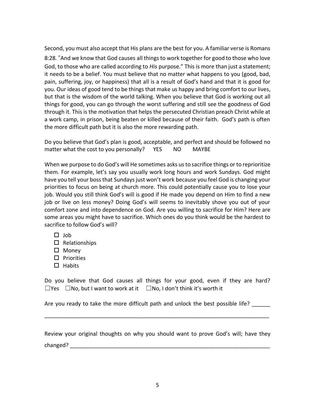Second, you must also accept that His plans are the best for you. A familiar verse is Romans 8:28."And we know that God causes all things to work together for good to those who love God, to those who are called according to *His* purpose." This is more than just a statement; it needs to be a belief. You must believe that no matter what happens to you (good, bad, pain, suffering, joy, or happiness) that all is a result of God's hand and that it is good for you. Our ideas of good tend to be things that make us happy and bring comfort to our lives, but that is the wisdom of the world talking. When you believe that God is working out all things for good, you can go through the worst suffering and still see the goodness of God through it. This is the motivation that helps the persecuted Christian preach Christ while at a work camp, in prison, being beaten or killed because of their faith. God's path is often the more difficult path but it is also the more rewarding path.

Do you believe that God's plan is good, acceptable, and perfect and should be followed no matter what the cost to you personally? YES NO MAYBE

When we purpose to do God's will He sometimes asks us to sacrifice things or to reprioritize them. For example, let's say you usually work long hours and work Sundays. God might have you tell your boss that Sundays just won't work because you feel God is changing your priorities to focus on being at church more. This could potentially cause you to lose your job. Would you still think God's will is good if He made you depend on Him to find a new job or live on less money? Doing God's will seems to inevitably shove you out of your comfort zone and into dependence on God. Are you willing to sacrifice for Him? Here are some areas you might have to sacrifice. Which ones do you think would be the hardest to sacrifice to follow God's will?

- $\Box$  Job
- $\square$  Relationships
- □ Money
- $\square$  Priorities
- $\Box$  Habits

Do you believe that God causes all things for your good, even if they are hard? ☐Yes ☐No, but I want to work at it ☐No, I don't think it's worth it

Are you ready to take the more difficult path and unlock the best possible life?

Review your original thoughts on why you should want to prove God's will; have they changed? The contract of the contract of the contract of the contract of the contract of the contract of the contract of the contract of the contract of the contract of the contract of the contract of the contract of the c

\_\_\_\_\_\_\_\_\_\_\_\_\_\_\_\_\_\_\_\_\_\_\_\_\_\_\_\_\_\_\_\_\_\_\_\_\_\_\_\_\_\_\_\_\_\_\_\_\_\_\_\_\_\_\_\_\_\_\_\_\_\_\_\_\_\_\_\_\_\_\_\_\_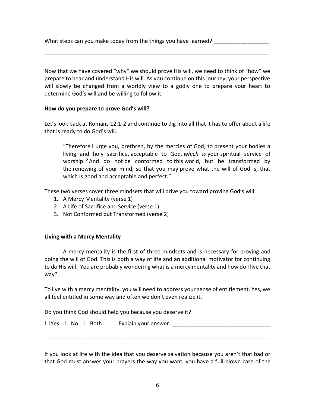What steps can you make today from the things you have learned?

Now that we have covered "why" we should prove His will, we need to think of "how" we prepare to hear and understand His will. As you continue on this journey, your perspective will slowly be changed from a worldly view to a godly one to prepare your heart to determine God's will and be willing to follow it.

\_\_\_\_\_\_\_\_\_\_\_\_\_\_\_\_\_\_\_\_\_\_\_\_\_\_\_\_\_\_\_\_\_\_\_\_\_\_\_\_\_\_\_\_\_\_\_\_\_\_\_\_\_\_\_\_\_\_\_\_\_\_\_\_\_\_\_\_\_\_\_\_\_

### **How do you prepare to prove God's will?**

Let's look back at Romans 12:1-2 and continue to dig into all that it has to offer about a life that is ready to do God's will.

"Therefore I urge you, brethren, by the mercies of God, to present your bodies a living and holy sacrifice, acceptable to God, *which is* your spiritual service of worship. **<sup>2</sup>**And do not be conformed to this world, but be transformed by the renewing of your mind, so that you may prove what the will of God is, that which is good and acceptable and perfect."

These two verses cover three mindsets that will drive you toward proving God's will.

- 1. A Mercy Mentality (verse 1)
- 2. A Life of Sacrifice and Service (verse 1)
- 3. Not Conformed but Transformed (verse 2)

### **Living with a Mercy Mentality**

A mercy mentality is the first of three mindsets and is necessary for proving and doing the will of God. This is both a way of life and an additional motivator for continuing to do His will. You are probably wondering what is a mercy mentality and how do I live that way?

To live with a mercy mentality, you will need to address your sense of entitlement. Yes, we all feel entitled in some way and often we don't even realize it.

Do you think God should help you because you deserve it?

|  | $\square$ Yes $\square$ No $\square$ Both | Explain your answer. |
|--|-------------------------------------------|----------------------|
|  |                                           |                      |

\_\_\_\_\_\_\_\_\_\_\_\_\_\_\_\_\_\_\_\_\_\_\_\_\_\_\_\_\_\_\_\_\_\_\_\_\_\_\_\_\_\_\_\_\_\_\_\_\_\_\_\_\_\_\_\_\_\_\_\_\_\_\_\_\_\_\_\_\_\_\_\_\_

If you look at life with the idea that you deserve salvation because you aren't that bad or that God must answer your prayers the way you want, you have a full-blown case of the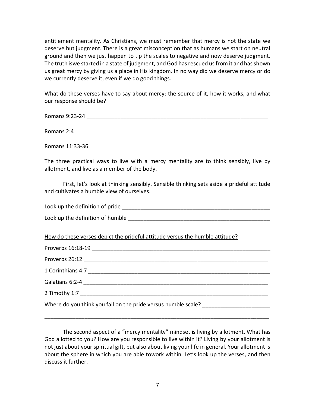entitlement mentality. As Christians, we must remember that mercy is not the state we deserve but judgment. There is a great misconception that as humans we start on neutral ground and then we just happen to tip the scales to negative and now deserve judgment. The truth iswe started in a state of judgment, and God has rescued us from it and has shown us great mercy by giving us a place in His kingdom. In no way did we deserve mercy or do we currently deserve it, even if we do good things.

What do these verses have to say about mercy: the source of it, how it works, and what our response should be?

Romans 9:23-24  $\blacksquare$ Romans 2:4  $\blacksquare$ Romans 11:33-36

The three practical ways to live with a mercy mentality are to think sensibly, live by allotment, and live as a member of the body.

First, let's look at thinking sensibly. Sensible thinking sets aside a prideful attitude and cultivates a humble view of ourselves.

Look up the definition of pride the state of the state of the state of the state of the state of the state of the state of the state of the state of the state of the state of the state of the state of the state of the stat

Look up the definition of humble **Look** and the state of the state of the state of the state of the state of the state of the state of the state of the state of the state of the state of the state of the state of the state

How do these verses depict the prideful attitude versus the humble attitude?

| Proverbs 16:18-19                                             |  |
|---------------------------------------------------------------|--|
|                                                               |  |
|                                                               |  |
|                                                               |  |
| 2 Timothy 1:7                                                 |  |
| Where do you think you fall on the pride versus humble scale? |  |

The second aspect of a "mercy mentality" mindset is living by allotment. What has God allotted to you? How are you responsible to live within it? Living by your allotment is not just about your spiritual gift, but also about living your life in general. Your allotment is about the sphere in which you are able towork within. Let's look up the verses, and then discuss it further.

\_\_\_\_\_\_\_\_\_\_\_\_\_\_\_\_\_\_\_\_\_\_\_\_\_\_\_\_\_\_\_\_\_\_\_\_\_\_\_\_\_\_\_\_\_\_\_\_\_\_\_\_\_\_\_\_\_\_\_\_\_\_\_\_\_\_\_\_\_\_\_\_\_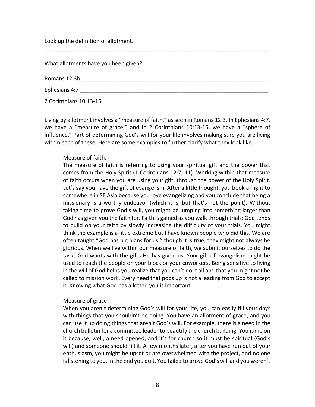Look up the definition of allotment.

| What allotments have you been given? |  |
|--------------------------------------|--|
| Romans 12:3b                         |  |
| Ephesians 4:7                        |  |
| 2 Corinthians 10:13-15               |  |

\_\_\_\_\_\_\_\_\_\_\_\_\_\_\_\_\_\_\_\_\_\_\_\_\_\_\_\_\_\_\_\_\_\_\_\_\_\_\_\_\_\_\_\_\_\_\_\_\_\_\_\_\_\_\_\_\_\_\_\_\_\_\_\_\_\_\_\_\_\_\_\_\_

Living by allotment involves a "measure of faith," as seen in Romans 12:3. In Ephesians 4:7, we have a "measure of grace," and in 2 Corinthians 10:13-15, we have a "sphere of influence." Part of determining God's will for your life involves making sure you are living within each of these. Here are some examples to further clarify what they look like.

### Measure of faith:

The measure of faith is referring to using your spiritual gift and the power that comes from the Holy Spirit (1 Corinthians 12:7, 11). Working within that measure of faith occurs when you are using your gift, through the power of the Holy Spirit. Let's say you have the gift of evangelism. After a little thought, you book a flight to somewhere in SE Asia because you love evangelizing and you conclude that being a missionary is a worthy endeavor (which it is, but that's not the point). Without taking time to prove God's will, you might be jumping into something larger than God has given you the faith for. Faith is gained as you walk through trials; God tends to build on your faith by slowly increasing the difficulty of your trials. You might think the example is a little extreme but I have known people who did this. We are often taught "God has big plans for us;" though it is true, they might not always be glorious. When we live within our measure of faith, we submit ourselves to do the tasks God wants with the gifts He has given us. Your gift of evangelism might be used to reach the people on your block or your coworkers. Being sensitive to living in the will of God helps you realize that you can't do it all and that you might not be called to mission work. Every need that pops up is not a leading from God to accept it. Knowing what God has allotted you is important.

### Measure of grace:

When you aren't determining God's will for your life, you can easily fill your days with things that you shouldn't be doing. You have an allotment of grace, and you can use it up doing things that aren't God's will. For example, there is a need in the church bulletin for a committee leader to beautify the church building. You jump on it because, well, a need opened, and it's for church so it must be spiritual (God's will) and someone should fill it. A few months later, after you have run out of your enthusiasm, you might be upset or are overwhelmed with the project, and no one is listening to you. In the end you quit. You failed to prove God's will and you weren't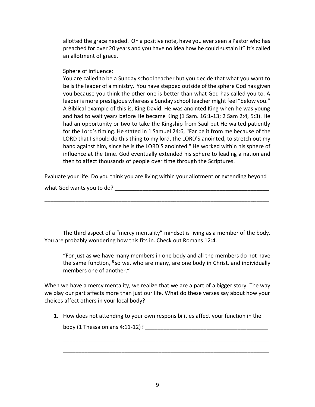allotted the grace needed. On a positive note, have you ever seen a Pastor who has preached for over 20 years and you have no idea how he could sustain it? It's called an allotment of grace.

### Sphere of influence:

You are called to be a Sunday school teacher but you decide that what you want to be is the leader of a ministry. You have stepped outside of the sphere God has given you because you think the other one is better than what God has called you to. A leader is more prestigious whereas a Sunday school teacher might feel "below you." A Biblical example of this is, King David. He was anointed King when he was young and had to wait years before He became King (1 Sam. 16:1-13; 2 Sam 2:4, 5:3). He had an opportunity or two to take the Kingship from Saul but He waited patiently for the Lord's timing. He stated in 1 Samuel 24:6, "Far be it from me because of the LORD that I should do this thing to my lord, the LORD'S anointed, to stretch out my hand against him, since he is the LORD'S anointed." He worked within his sphere of influence at the time. God eventually extended his sphere to leading a nation and then to affect thousands of people over time through the Scriptures.

Evaluate your life. Do you think you are living within your allotment or extending beyond

\_\_\_\_\_\_\_\_\_\_\_\_\_\_\_\_\_\_\_\_\_\_\_\_\_\_\_\_\_\_\_\_\_\_\_\_\_\_\_\_\_\_\_\_\_\_\_\_\_\_\_\_\_\_\_\_\_\_\_\_\_\_\_\_\_\_\_\_\_\_\_\_\_

\_\_\_\_\_\_\_\_\_\_\_\_\_\_\_\_\_\_\_\_\_\_\_\_\_\_\_\_\_\_\_\_\_\_\_\_\_\_\_\_\_\_\_\_\_\_\_\_\_\_\_\_\_\_\_\_\_\_\_\_\_\_\_\_\_\_\_\_\_\_\_\_\_

what God wants you to do? what God wants you to do?

The third aspect of a "mercy mentality" mindset is living as a member of the body. You are probably wondering how this fits in. Check out Romans 12:4.

"For just as we have many members in one body and all the members do not have the same function, **<sup>5</sup>** so we, who are many, are one body in Christ, and individually members one of another."

When we have a mercy mentality, we realize that we are a part of a bigger story. The way we play our part affects more than just our life. What do these verses say about how your choices affect others in your local body?

1. How does not attending to your own responsibilities affect your function in the

\_\_\_\_\_\_\_\_\_\_\_\_\_\_\_\_\_\_\_\_\_\_\_\_\_\_\_\_\_\_\_\_\_\_\_\_\_\_\_\_\_\_\_\_\_\_\_\_\_\_\_\_\_\_\_\_\_\_\_\_\_\_\_\_\_\_\_

\_\_\_\_\_\_\_\_\_\_\_\_\_\_\_\_\_\_\_\_\_\_\_\_\_\_\_\_\_\_\_\_\_\_\_\_\_\_\_\_\_\_\_\_\_\_\_\_\_\_\_\_\_\_\_\_\_\_\_\_\_\_\_\_\_\_\_

body (1 Thessalonians 4:11-12)?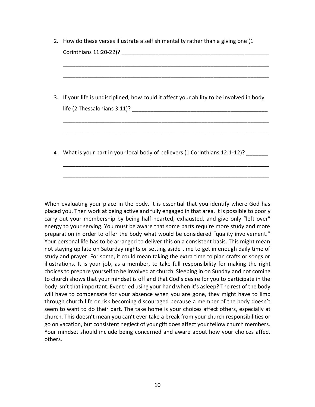- 2. How do these verses illustrate a selfish mentality rather than a giving one (1 Corinthians 11:20-22)? \_\_\_\_\_\_\_\_\_\_\_\_\_\_\_\_\_\_\_\_\_\_\_\_\_\_\_\_\_\_\_\_\_\_\_\_\_\_\_\_\_\_\_\_\_\_\_\_
- 3. If your life is undisciplined, how could it affect your ability to be involved in body life (2 Thessalonians 3:11)? \_\_\_\_\_\_\_\_\_\_\_\_\_\_\_\_\_\_\_\_\_\_\_\_\_\_\_\_\_\_\_\_\_\_\_\_\_\_\_\_\_\_\_\_

\_\_\_\_\_\_\_\_\_\_\_\_\_\_\_\_\_\_\_\_\_\_\_\_\_\_\_\_\_\_\_\_\_\_\_\_\_\_\_\_\_\_\_\_\_\_\_\_\_\_\_\_\_\_\_\_\_\_\_\_\_\_\_\_\_\_\_

\_\_\_\_\_\_\_\_\_\_\_\_\_\_\_\_\_\_\_\_\_\_\_\_\_\_\_\_\_\_\_\_\_\_\_\_\_\_\_\_\_\_\_\_\_\_\_\_\_\_\_\_\_\_\_\_\_\_\_\_\_\_\_\_\_\_\_

\_\_\_\_\_\_\_\_\_\_\_\_\_\_\_\_\_\_\_\_\_\_\_\_\_\_\_\_\_\_\_\_\_\_\_\_\_\_\_\_\_\_\_\_\_\_\_\_\_\_\_\_\_\_\_\_\_\_\_\_\_\_\_\_\_\_\_

\_\_\_\_\_\_\_\_\_\_\_\_\_\_\_\_\_\_\_\_\_\_\_\_\_\_\_\_\_\_\_\_\_\_\_\_\_\_\_\_\_\_\_\_\_\_\_\_\_\_\_\_\_\_\_\_\_\_\_\_\_\_\_\_\_\_\_

\_\_\_\_\_\_\_\_\_\_\_\_\_\_\_\_\_\_\_\_\_\_\_\_\_\_\_\_\_\_\_\_\_\_\_\_\_\_\_\_\_\_\_\_\_\_\_\_\_\_\_\_\_\_\_\_\_\_\_\_\_\_\_\_\_\_\_

\_\_\_\_\_\_\_\_\_\_\_\_\_\_\_\_\_\_\_\_\_\_\_\_\_\_\_\_\_\_\_\_\_\_\_\_\_\_\_\_\_\_\_\_\_\_\_\_\_\_\_\_\_\_\_\_\_\_\_\_\_\_\_\_\_\_\_

4. What is your part in your local body of believers (1 Corinthians 12:1-12)?

When evaluating your place in the body, it is essential that you identify where God has placed you. Then work at being active and fully engaged in that area. It is possible to poorly carry out your membership by being half-hearted, exhausted, and give only "left over" energy to your serving. You must be aware that some parts require more study and more preparation in order to offer the body what would be considered "quality involvement." Your personal life has to be arranged to deliver this on a consistent basis. This might mean not staying up late on Saturday nights or setting aside time to get in enough daily time of study and prayer. For some, it could mean taking the extra time to plan crafts or songs or illustrations. It is your job, as a member, to take full responsibility for making the right choices to prepare yourself to be involved at church. Sleeping in on Sunday and not coming to church shows that your mindset is off and that God's desire for you to participate in the body isn't that important. Ever tried using your hand when it's asleep? The rest of the body will have to compensate for your absence when you are gone, they might have to limp through church life or risk becoming discouraged because a member of the body doesn't seem to want to do their part. The take home is your choices affect others, especially at church. This doesn't mean you can't ever take a break from your church responsibilities or go on vacation, but consistent neglect of your gift does affect your fellow church members. Your mindset should include being concerned and aware about how your choices affect others.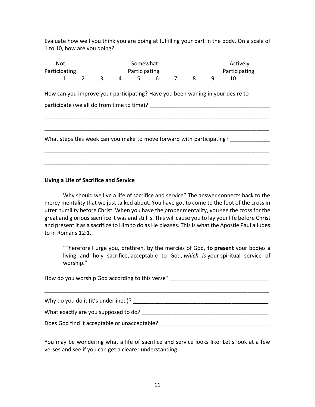Evaluate how well you think you are doing at fulfilling your part in the body. On a scale of 1 to 10, how are you doing?

| <b>Not</b><br>Participating |                                            |  |              | Somewhat<br>Participating |                                                                       |  |  |  | Actively<br>Participating |                                                                                |  |
|-----------------------------|--------------------------------------------|--|--------------|---------------------------|-----------------------------------------------------------------------|--|--|--|---------------------------|--------------------------------------------------------------------------------|--|
|                             | 1                                          |  | $2 \qquad 3$ |                           | 4 5 6 7 8                                                             |  |  |  | 9                         | 10                                                                             |  |
|                             |                                            |  |              |                           |                                                                       |  |  |  |                           | How can you improve your participating? Have you been waning in your desire to |  |
|                             | participate (we all do from time to time)? |  |              |                           |                                                                       |  |  |  |                           |                                                                                |  |
|                             |                                            |  |              |                           |                                                                       |  |  |  |                           |                                                                                |  |
|                             |                                            |  |              |                           | What steps this week can you make to move forward with participating? |  |  |  |                           |                                                                                |  |
|                             |                                            |  |              |                           |                                                                       |  |  |  |                           |                                                                                |  |
|                             |                                            |  |              |                           |                                                                       |  |  |  |                           |                                                                                |  |

### **Living a Life of Sacrifice and Service**

Why should we live a life of sacrifice and service? The answer connects back to the mercy mentality that we just talked about. You have got to come to the foot of the cross in utter humility before Christ. When you have the proper mentality, you see the cross for the great and glorious sacrifice it was and still is. This will cause you to lay your life before Christ and present it as a sacrifice to Him to do as He pleases. This is what the Apostle Paul alludes to in Romans 12:1.

"Therefore I urge you, brethren, by the mercies of God, **to present** your bodies a living and holy sacrifice, acceptable to God, *which is* your spiritual service of worship."

How do you worship God according to this verse? \_\_\_\_\_\_\_\_\_\_\_\_\_\_\_\_\_\_\_\_\_\_\_\_\_\_\_\_\_\_\_\_

Why do you do it (it's underlined)? \_\_\_\_\_\_\_\_\_\_\_\_\_\_\_\_\_\_\_\_\_\_\_\_\_\_\_\_\_\_\_\_\_\_\_\_\_\_\_\_\_\_\_\_

What exactly are you supposed to do? \_\_\_\_\_\_\_\_\_\_\_\_\_\_\_\_\_\_\_\_\_\_\_\_\_\_\_\_\_\_\_\_\_\_\_\_\_\_\_\_\_

Does God find it acceptable or unacceptable? \_\_\_\_\_\_\_\_\_\_\_\_\_\_\_\_\_\_\_\_\_\_\_\_\_\_\_\_\_\_\_\_\_\_\_\_

You may be wondering what a life of sacrifice and service looks like. Let's look at a few verses and see if you can get a clearer understanding.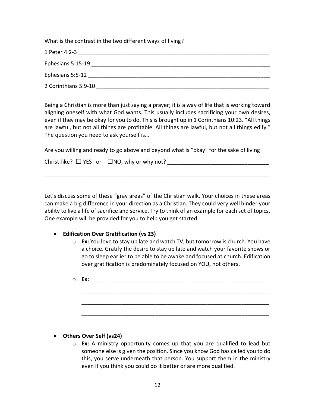What is the contrast in the two different ways of living?

|--|

| Ephesians 5:15-19 |  |  |
|-------------------|--|--|
|                   |  |  |

Ephesians 5:5-12 \_\_\_\_\_\_\_\_\_\_\_\_\_\_\_\_\_\_\_\_\_\_\_\_\_\_\_\_\_\_\_\_\_\_\_\_\_\_\_\_\_\_\_\_\_\_\_\_\_\_\_\_\_\_\_\_\_\_\_

2 Corinthians 5:9-10 \_\_\_\_\_\_\_\_\_\_\_\_\_\_\_\_\_\_\_\_\_\_\_\_\_\_\_\_\_\_\_\_\_\_\_\_\_\_\_\_\_\_\_\_\_\_\_\_\_\_\_\_\_\_\_\_

Being a Christian is more than just saying a prayer; it is a way of life that is working toward aligning oneself with what God wants. This usually includes sacrificing your own desires, even if they may be okay for you to do. This is brought up in 1 Corinthians 10:23. "All things are lawful, but not all things are profitable. All things are lawful, but not all things edify." The question you need to ask yourself is…

| Are you willing and ready to go above and beyond what is "okay" for the sake of living |  |
|----------------------------------------------------------------------------------------|--|
|----------------------------------------------------------------------------------------|--|

| Christ-like? $\Box$ YES or $\Box$ NO, why or why not? |  |
|-------------------------------------------------------|--|
|-------------------------------------------------------|--|

\_\_\_\_\_\_\_\_\_\_\_\_\_\_\_\_\_\_\_\_\_\_\_\_\_\_\_\_\_\_\_\_\_\_\_\_\_\_\_\_\_\_\_\_\_\_\_\_\_\_\_\_\_\_\_\_\_\_\_\_\_\_\_\_\_\_\_\_\_\_\_\_\_

Let's discuss some of these "gray areas" of the Christian walk. Your choices in these areas can make a big difference in your direction as a Christian. They could very well hinder your ability to live a life of sacrifice and service. Try to think of an example for each set of topics. One example will be provided for you to help you get started.

### • **Edification Over Gratification (vs 23)**

- o **Ex:** You love to stay up late and watch TV, but tomorrow is church. You have a choice. Gratify the desire to stay up late and watch your favorite shows or go to sleep earlier to be able to be awake and focused at church. Edification over gratification is predominately focused on YOU, not others.
- o **Ex:** \_\_\_\_\_\_\_\_\_\_\_\_\_\_\_\_\_\_\_\_\_\_\_\_\_\_\_\_\_\_\_\_\_\_\_\_\_\_\_\_\_\_\_\_\_\_\_\_\_\_\_\_\_\_\_\_\_\_ \_\_\_\_\_\_\_\_\_\_\_\_\_\_\_\_\_\_\_\_\_\_\_\_\_\_\_\_\_\_\_\_\_\_\_\_\_\_\_\_\_\_\_\_\_\_\_\_\_\_\_\_\_\_\_\_\_\_\_\_\_ \_\_\_\_\_\_\_\_\_\_\_\_\_\_\_\_\_\_\_\_\_\_\_\_\_\_\_\_\_\_\_\_\_\_\_\_\_\_\_\_\_\_\_\_\_\_\_\_\_\_\_\_\_\_\_\_\_\_\_\_\_ \_\_\_\_\_\_\_\_\_\_\_\_\_\_\_\_\_\_\_\_\_\_\_\_\_\_\_\_\_\_\_\_\_\_\_\_\_\_\_\_\_\_\_\_\_\_\_\_\_\_\_\_\_\_\_\_\_\_\_\_\_

### • **Others Over Self (vs24)**

o **Ex:** A ministry opportunity comes up that you are qualified to lead but someone else is given the position. Since you know God has called you to do this, you serve underneath that person. You support them in the ministry even if you think you could do it better or are more qualified.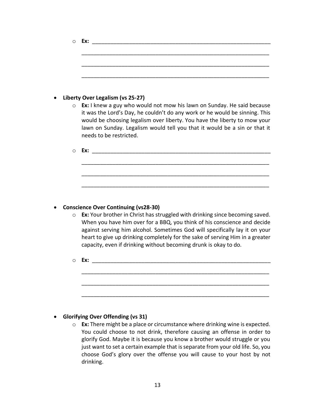| $\bigcirc$ | Ex: the contract of the contract of the contract of the contract of the contract of the contract of the contract of the contract of the contract of the contract of the contract of the contract of the contract of the contra                                                                                                             |
|------------|--------------------------------------------------------------------------------------------------------------------------------------------------------------------------------------------------------------------------------------------------------------------------------------------------------------------------------------------|
|            |                                                                                                                                                                                                                                                                                                                                            |
|            |                                                                                                                                                                                                                                                                                                                                            |
|            |                                                                                                                                                                                                                                                                                                                                            |
|            |                                                                                                                                                                                                                                                                                                                                            |
| $\bullet$  | Liberty Over Legalism (vs 25-27)                                                                                                                                                                                                                                                                                                           |
| $\circ$    | Ex: I knew a guy who would not mow his lawn on Sunday. He said because<br>it was the Lord's Day, he couldn't do any work or he would be sinning. This<br>would be choosing legalism over liberty. You have the liberty to mow your<br>lawn on Sunday. Legalism would tell you that it would be a sin or that it<br>needs to be restricted. |
| $\circ$    |                                                                                                                                                                                                                                                                                                                                            |
|            |                                                                                                                                                                                                                                                                                                                                            |
|            |                                                                                                                                                                                                                                                                                                                                            |
|            |                                                                                                                                                                                                                                                                                                                                            |
|            |                                                                                                                                                                                                                                                                                                                                            |
| $\bullet$  | <b>Conscience Over Continuing (vs28-30)</b>                                                                                                                                                                                                                                                                                                |
| $\circ$    | Ex: Your brother in Christ has struggled with drinking since becoming saved.                                                                                                                                                                                                                                                               |

When you have him over for a BBQ, you think of his conscience and decide against serving him alcohol. Sometimes God will specifically lay it on your heart to give up drinking completely for the sake of serving Him in a greater capacity, even if drinking without becoming drunk is okay to do.

\_\_\_\_\_\_\_\_\_\_\_\_\_\_\_\_\_\_\_\_\_\_\_\_\_\_\_\_\_\_\_\_\_\_\_\_\_\_\_\_\_\_\_\_\_\_\_\_\_\_\_\_\_\_\_\_\_\_\_\_\_

\_\_\_\_\_\_\_\_\_\_\_\_\_\_\_\_\_\_\_\_\_\_\_\_\_\_\_\_\_\_\_\_\_\_\_\_\_\_\_\_\_\_\_\_\_\_\_\_\_\_\_\_\_\_\_\_\_\_\_\_\_

\_\_\_\_\_\_\_\_\_\_\_\_\_\_\_\_\_\_\_\_\_\_\_\_\_\_\_\_\_\_\_\_\_\_\_\_\_\_\_\_\_\_\_\_\_\_\_\_\_\_\_\_\_\_\_\_\_\_\_\_\_

o **Ex:** \_\_\_\_\_\_\_\_\_\_\_\_\_\_\_\_\_\_\_\_\_\_\_\_\_\_\_\_\_\_\_\_\_\_\_\_\_\_\_\_\_\_\_\_\_\_\_\_\_\_\_\_\_\_\_\_\_\_

### • **Glorifying Over Offending (vs 31)**

o **Ex:** There might be a place or circumstance where drinking wine is expected. You could choose to not drink, therefore causing an offense in order to glorify God. Maybe it is because you know a brother would struggle or you just want to set a certain example that is separate from your old life. So, you choose God's glory over the offense you will cause to your host by not drinking.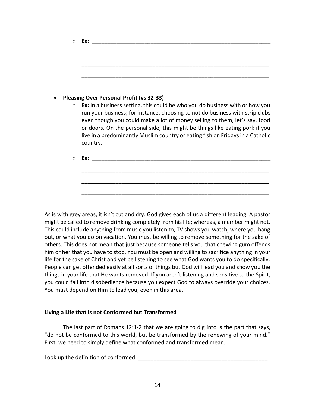|         | Ex:                                                                                                                                                                                                                                                                                                                                                                                                                              |
|---------|----------------------------------------------------------------------------------------------------------------------------------------------------------------------------------------------------------------------------------------------------------------------------------------------------------------------------------------------------------------------------------------------------------------------------------|
|         | <b>Pleasing Over Personal Profit (vs 32-33)</b>                                                                                                                                                                                                                                                                                                                                                                                  |
| $\circ$ | <b>Ex:</b> In a business setting, this could be who you do business with or how you<br>run your business; for instance, choosing to not do business with strip clubs<br>even though you could make a lot of money selling to them, let's say, food<br>or doors. On the personal side, this might be things like eating pork if you<br>live in a predominantly Muslim country or eating fish on Fridays in a Catholic<br>country. |
| ◯       | Ex:<br><u> 2001 - Jan Lander, amerikansk politik (d. 1882)</u>                                                                                                                                                                                                                                                                                                                                                                   |

As is with grey areas, it isn't cut and dry. God gives each of us a different leading. A pastor might be called to remove drinking completely from his life; whereas, a member might not. This could include anything from music you listen to, TV shows you watch, where you hang out, or what you do on vacation. You must be willing to remove something for the sake of others. This does not mean that just because someone tells you that chewing gum offends him or her that you have to stop. You must be open and willing to sacrifice anything in your life for the sake of Christ and yet be listening to see what God wants you to do specifically. People can get offended easily at all sorts of things but God will lead you and show you the things in your life that He wants removed. If you aren't listening and sensitive to the Spirit, you could fall into disobedience because you expect God to always override your choices. You must depend on Him to lead you, even in this area.

### **Living a Life that is not Conformed but Transformed**

The last part of Romans 12:1-2 that we are going to dig into is the part that says, "do not be conformed to this world, but be transformed by the renewing of your mind." First, we need to simply define what conformed and transformed mean.

Look up the definition of conformed: \_\_\_\_\_\_\_\_\_\_\_\_\_\_\_\_\_\_\_\_\_\_\_\_\_\_\_\_\_\_\_\_\_\_\_\_\_\_\_\_\_\_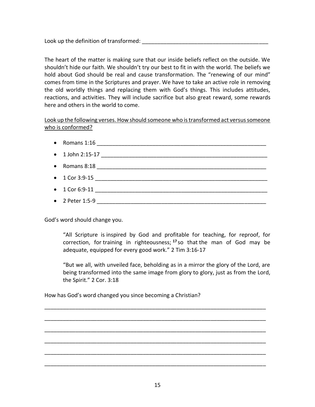Look up the definition of transformed: \_\_\_\_\_\_\_\_\_\_\_\_\_\_\_\_\_\_\_\_\_\_\_\_\_\_\_\_\_\_\_\_\_\_\_\_\_\_\_\_\_

The heart of the matter is making sure that our inside beliefs reflect on the outside. We shouldn't hide our faith. We shouldn't try our best to fit in with the world. The beliefs we hold about God should be real and cause transformation. The "renewing of our mind" comes from time in the Scriptures and prayer. We have to take an active role in removing the old worldly things and replacing them with God's things. This includes attitudes, reactions, and activities. They will include sacrifice but also great reward, some rewards here and others in the world to come.

Look up the following verses. How should someone who is transformed act versus someone who is conformed?

- Romans  $1:16$
- $1$  John 2:15-17
- Romans  $8:18$
- $1$  Cor 3:9-15
- $1 \text{ Cor } 6:9-11$
- 2 Peter 1:5-9  $\bullet$

God's word should change you.

"All Scripture is inspired by God and profitable for teaching, for reproof, for correction, for training in righteousness; **<sup>17</sup>** so that the man of God may be adequate, equipped for every good work." 2 Tim 3:16-17

"But we all, with unveiled face, beholding as in a mirror the glory of the Lord, are being transformed into the same image from glory to glory, just as from the Lord, the Spirit." 2 Cor. 3:18

How has God's word changed you since becoming a Christian?

\_\_\_\_\_\_\_\_\_\_\_\_\_\_\_\_\_\_\_\_\_\_\_\_\_\_\_\_\_\_\_\_\_\_\_\_\_\_\_\_\_\_\_\_\_\_\_\_\_\_\_\_\_\_\_\_\_\_\_\_\_\_\_\_\_\_\_\_\_\_\_\_

\_\_\_\_\_\_\_\_\_\_\_\_\_\_\_\_\_\_\_\_\_\_\_\_\_\_\_\_\_\_\_\_\_\_\_\_\_\_\_\_\_\_\_\_\_\_\_\_\_\_\_\_\_\_\_\_\_\_\_\_\_\_\_\_\_\_\_\_\_\_\_\_

\_\_\_\_\_\_\_\_\_\_\_\_\_\_\_\_\_\_\_\_\_\_\_\_\_\_\_\_\_\_\_\_\_\_\_\_\_\_\_\_\_\_\_\_\_\_\_\_\_\_\_\_\_\_\_\_\_\_\_\_\_\_\_\_\_\_\_\_\_\_\_\_

\_\_\_\_\_\_\_\_\_\_\_\_\_\_\_\_\_\_\_\_\_\_\_\_\_\_\_\_\_\_\_\_\_\_\_\_\_\_\_\_\_\_\_\_\_\_\_\_\_\_\_\_\_\_\_\_\_\_\_\_\_\_\_\_\_\_\_\_\_\_\_\_

\_\_\_\_\_\_\_\_\_\_\_\_\_\_\_\_\_\_\_\_\_\_\_\_\_\_\_\_\_\_\_\_\_\_\_\_\_\_\_\_\_\_\_\_\_\_\_\_\_\_\_\_\_\_\_\_\_\_\_\_\_\_\_\_\_\_\_\_\_\_\_\_

\_\_\_\_\_\_\_\_\_\_\_\_\_\_\_\_\_\_\_\_\_\_\_\_\_\_\_\_\_\_\_\_\_\_\_\_\_\_\_\_\_\_\_\_\_\_\_\_\_\_\_\_\_\_\_\_\_\_\_\_\_\_\_\_\_\_\_\_\_\_\_\_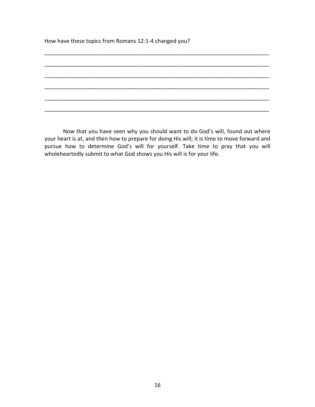How have these topics from Romans 12:1-4 changed you?

Now that you have seen why you should want to do God's will, found out where your heart is at, and then how to prepare for doing His will; it is time to move forward and pursue how to determine God's will for yourself. Take time to pray that you will wholeheartedly submit to what God shows you His will is for your life.

\_\_\_\_\_\_\_\_\_\_\_\_\_\_\_\_\_\_\_\_\_\_\_\_\_\_\_\_\_\_\_\_\_\_\_\_\_\_\_\_\_\_\_\_\_\_\_\_\_\_\_\_\_\_\_\_\_\_\_\_\_\_\_\_\_\_\_\_\_\_\_\_\_

\_\_\_\_\_\_\_\_\_\_\_\_\_\_\_\_\_\_\_\_\_\_\_\_\_\_\_\_\_\_\_\_\_\_\_\_\_\_\_\_\_\_\_\_\_\_\_\_\_\_\_\_\_\_\_\_\_\_\_\_\_\_\_\_\_\_\_\_\_\_\_\_\_

\_\_\_\_\_\_\_\_\_\_\_\_\_\_\_\_\_\_\_\_\_\_\_\_\_\_\_\_\_\_\_\_\_\_\_\_\_\_\_\_\_\_\_\_\_\_\_\_\_\_\_\_\_\_\_\_\_\_\_\_\_\_\_\_\_\_\_\_\_\_\_\_\_

\_\_\_\_\_\_\_\_\_\_\_\_\_\_\_\_\_\_\_\_\_\_\_\_\_\_\_\_\_\_\_\_\_\_\_\_\_\_\_\_\_\_\_\_\_\_\_\_\_\_\_\_\_\_\_\_\_\_\_\_\_\_\_\_\_\_\_\_\_\_\_\_\_

\_\_\_\_\_\_\_\_\_\_\_\_\_\_\_\_\_\_\_\_\_\_\_\_\_\_\_\_\_\_\_\_\_\_\_\_\_\_\_\_\_\_\_\_\_\_\_\_\_\_\_\_\_\_\_\_\_\_\_\_\_\_\_\_\_\_\_\_\_\_\_\_\_

\_\_\_\_\_\_\_\_\_\_\_\_\_\_\_\_\_\_\_\_\_\_\_\_\_\_\_\_\_\_\_\_\_\_\_\_\_\_\_\_\_\_\_\_\_\_\_\_\_\_\_\_\_\_\_\_\_\_\_\_\_\_\_\_\_\_\_\_\_\_\_\_\_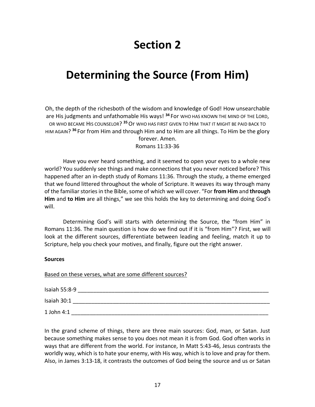# **Section 2**

# **Determining the Source (From Him)**

Oh, the depth of the richesboth of the wisdom and knowledge of God! How unsearchable are His judgments and unfathomable His ways! **<sup>34</sup>** For WHO HAS KNOWN THE MIND OF THE LORD, OR WHO BECAME HIS COUNSELOR? **<sup>35</sup>**Or WHO HAS FIRST GIVEN TO HIM THAT IT MIGHT BE PAID BACK TO HIM AGAIN? **<sup>36</sup>** For from Him and through Him and to Him are all things. To Him be the glory forever. Amen.

Romans 11:33-36

Have you ever heard something, and it seemed to open your eyes to a whole new world? You suddenly see things and make connections that you never noticed before? This happened after an in-depth study of Romans 11:36. Through the study, a theme emerged that we found littered throughout the whole of Scripture. It weaves its way through many of the familiar stories in the Bible, some of which we will cover. "For **from Him** and **through Him** and **to Him** are all things," we see this holds the key to determining and doing God's will.

Determining God's will starts with determining the Source, the "from Him" in Romans 11:36. The main question is how do we find out if it is "from Him"? First, we will look at the different sources, differentiate between leading and feeling, match it up to Scripture, help you check your motives, and finally, figure out the right answer.

#### **Sources**

Based on these verses, what are some different sources?

| Isaiah 55:8-9 |  |
|---------------|--|
| Isaiah 30:1   |  |
| 1 John 4:1    |  |

In the grand scheme of things, there are three main sources: God, man, or Satan. Just because something makes sense to you does not mean it is from God. God often works in ways that are different from the world. For instance, In Matt 5:43-46, Jesus contrasts the worldly way, which is to hate your enemy, with His way, which is to love and pray for them. Also, in James 3:13-18, it contrasts the outcomes of God being the source and us or Satan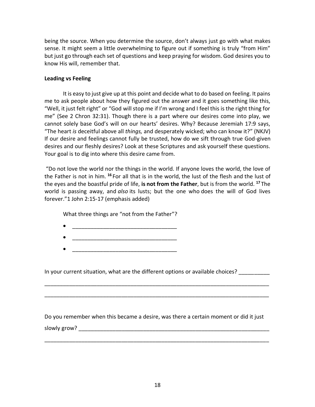being the source. When you determine the source, don't always just go with what makes sense. It might seem a little overwhelming to figure out if something is truly "from Him" but just go through each set of questions and keep praying for wisdom. God desires you to know His will, remember that.

### **Leading vs Feeling**

It is easy to just give up at this point and decide what to do based on feeling. It pains me to ask people about how they figured out the answer and it goes something like this, "Well, it just felt right" or "God will stop me if I'm wrong and I feel this is the right thing for me" (See 2 Chron 32:31). Though there is a part where our desires come into play, we cannot solely base God's will on our hearts' desires. Why? Because Jeremiah 17:9 says, "The heart *is* deceitful above all *things,* and desperately wicked; who can know it?" (NKJV) If our desire and feelings cannot fully be trusted, how do we sift through true God-given desires and our fleshly desires? Look at these Scriptures and ask yourself these questions. Your goal is to dig into where this desire came from.

"Do not love the world nor the things in the world. If anyone loves the world, the love of the Father is not in him. **<sup>16</sup>** For all that is in the world, the lust of the flesh and the lust of the eyes and the boastful pride of life, **is not from the Father**, but is from the world. **<sup>17</sup>** The world is passing away, and *also* its lusts; but the one who does the will of God lives forever."1 John 2:15-17 (emphasis added)

What three things are "not from the Father"?

- $\bullet$   $\qquad \qquad \qquad \qquad \qquad \qquad \qquad \qquad \qquad \qquad \qquad \qquad \qquad \qquad \qquad \qquad \qquad \qquad \qquad \qquad \qquad \qquad \qquad \qquad \qquad \qquad \qquad \qquad \qquad \qquad \qquad \qquad \qquad \qquad \qquad \qquad \qquad \qquad \qquad \qquad \qquad \qquad \qquad \q$
- $\bullet$   $\qquad \qquad \qquad \qquad \qquad \qquad \qquad \qquad \qquad \qquad \qquad \qquad \qquad \qquad \qquad \qquad \qquad \qquad \qquad \qquad \qquad \qquad \qquad \qquad \qquad \qquad \qquad \qquad \qquad \qquad \qquad \qquad \qquad \qquad \qquad \qquad \qquad \qquad \qquad \qquad \qquad \qquad \qquad \q$
- $\bullet$   $\qquad \qquad \qquad \qquad \qquad \qquad \qquad \qquad \qquad \qquad \qquad \qquad \qquad \qquad \qquad \qquad \qquad \qquad \qquad \qquad \qquad \qquad \qquad \qquad \qquad \qquad \qquad \qquad \qquad \qquad \qquad \qquad \qquad \qquad \qquad \qquad \qquad \qquad \qquad \qquad \qquad \qquad \qquad \q$

In your current situation, what are the different options or available choices?

Do you remember when this became a desire, was there a certain moment or did it just slowly grow?

\_\_\_\_\_\_\_\_\_\_\_\_\_\_\_\_\_\_\_\_\_\_\_\_\_\_\_\_\_\_\_\_\_\_\_\_\_\_\_\_\_\_\_\_\_\_\_\_\_\_\_\_\_\_\_\_\_\_\_\_\_\_\_\_\_\_\_\_\_\_\_\_\_

\_\_\_\_\_\_\_\_\_\_\_\_\_\_\_\_\_\_\_\_\_\_\_\_\_\_\_\_\_\_\_\_\_\_\_\_\_\_\_\_\_\_\_\_\_\_\_\_\_\_\_\_\_\_\_\_\_\_\_\_\_\_\_\_\_\_\_\_\_\_\_\_\_

\_\_\_\_\_\_\_\_\_\_\_\_\_\_\_\_\_\_\_\_\_\_\_\_\_\_\_\_\_\_\_\_\_\_\_\_\_\_\_\_\_\_\_\_\_\_\_\_\_\_\_\_\_\_\_\_\_\_\_\_\_\_\_\_\_\_\_\_\_\_\_\_\_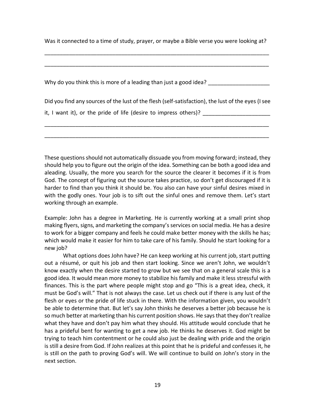Was it connected to a time of study, prayer, or maybe a Bible verse you were looking at?

\_\_\_\_\_\_\_\_\_\_\_\_\_\_\_\_\_\_\_\_\_\_\_\_\_\_\_\_\_\_\_\_\_\_\_\_\_\_\_\_\_\_\_\_\_\_\_\_\_\_\_\_\_\_\_\_\_\_\_\_\_\_\_\_\_\_\_\_\_\_\_\_\_

\_\_\_\_\_\_\_\_\_\_\_\_\_\_\_\_\_\_\_\_\_\_\_\_\_\_\_\_\_\_\_\_\_\_\_\_\_\_\_\_\_\_\_\_\_\_\_\_\_\_\_\_\_\_\_\_\_\_\_\_\_\_\_\_\_\_\_\_\_\_\_\_\_

Why do you think this is more of a leading than just a good idea? \_\_\_\_\_\_\_\_\_\_\_\_\_\_

Did you find any sources of the lust of the flesh (self-satisfaction), the lust of the eyes (I see

\_\_\_\_\_\_\_\_\_\_\_\_\_\_\_\_\_\_\_\_\_\_\_\_\_\_\_\_\_\_\_\_\_\_\_\_\_\_\_\_\_\_\_\_\_\_\_\_\_\_\_\_\_\_\_\_\_\_\_\_\_\_\_\_\_\_\_\_\_\_\_\_\_

\_\_\_\_\_\_\_\_\_\_\_\_\_\_\_\_\_\_\_\_\_\_\_\_\_\_\_\_\_\_\_\_\_\_\_\_\_\_\_\_\_\_\_\_\_\_\_\_\_\_\_\_\_\_\_\_\_\_\_\_\_\_\_\_\_\_\_\_\_\_\_\_\_

it, I want it), or the pride of life (desire to impress others)?

These questions should not automatically dissuade you from moving forward; instead, they should help you to figure out the origin of the idea. Something can be both a good idea and aleading. Usually, the more you search for the source the clearer it becomes if it is from God. The concept of figuring out the source takes practice, so don't get discouraged if it is harder to find than you think it should be. You also can have your sinful desires mixed in with the godly ones. Your job is to sift out the sinful ones and remove them. Let's start working through an example.

Example: John has a degree in Marketing. He is currently working at a small print shop making flyers, signs, and marketing the company's services on social media. He has a desire to work for a bigger company and feels he could make better money with the skills he has; which would make it easier for him to take care of his family. Should he start looking for a new job?

What options does John have? He can keep working at his current job, start putting out a résumé, or quit his job and then start looking. Since we aren't John, we wouldn't know exactly when the desire started to grow but we see that on a general scale this is a good idea. It would mean more money to stabilize his family and make it less stressful with finances. This is the part where people might stop and go "This is a great idea, check, it must be God's will." That is not always the case. Let us check out if there is any lust of the flesh or eyes or the pride of life stuck in there. With the information given, you wouldn't be able to determine that. But let's say John thinks he deserves a better job because he is so much better at marketing than his current position shows. He says that they don't realize what they have and don't pay him what they should. His attitude would conclude that he has a prideful bent for wanting to get a new job. He thinks he deserves it. God might be trying to teach him contentment or he could also just be dealing with pride and the origin is still a desire from God. If John realizes at this point that he is prideful and confesses it, he is still on the path to proving God's will. We will continue to build on John's story in the next section.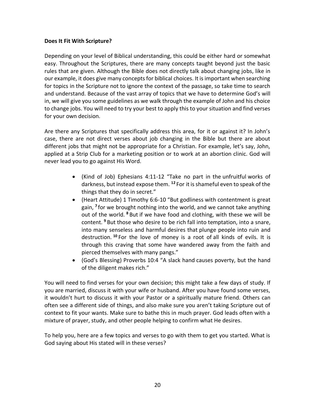### **Does It Fit With Scripture?**

Depending on your level of Biblical understanding, this could be either hard or somewhat easy. Throughout the Scriptures, there are many concepts taught beyond just the basic rules that are given. Although the Bible does not directly talk about changing jobs, like in our example, it does give many concepts for biblical choices. It is important when searching for topics in the Scripture not to ignore the context of the passage, so take time to search and understand. Because of the vast array of topics that we have to determine God's will in, we will give you some guidelines as we walk through the example of John and his choice to change jobs. You will need to try your best to apply this to your situation and find verses for your own decision.

Are there any Scriptures that specifically address this area, for it or against it? In John's case, there are not direct verses about job changing in the Bible but there are about different jobs that might not be appropriate for a Christian. For example, let's say, John, applied at a Strip Club for a marketing position or to work at an abortion clinic. God will never lead you to go against His Word.

- (Kind of Job) Ephesians 4:11-12 "Take no part in the unfruitful works of darkness, but instead expose them. **<sup>12</sup>** For it is shameful even to speak of the things that they do in secret."
- (Heart Attitude) 1 Timothy 6:6-10 "But godliness with contentment is great gain, **<sup>7</sup>** for we brought nothing into the world, and we cannot take anything out of the world. **<sup>8</sup>** But if we have food and clothing, with these we will be content. **<sup>9</sup>** But those who desire to be rich fall into temptation, into a snare, into many senseless and harmful desires that plunge people into ruin and destruction. **<sup>10</sup>** For the love of money is a root of all kinds of evils. It is through this craving that some have wandered away from the faith and pierced themselves with many pangs."
- (God's Blessing) Proverbs 10:4 "A slack hand causes poverty, but the hand of the diligent makes rich."

You will need to find verses for your own decision; this might take a few days of study. If you are married, discuss it with your wife or husband. After you have found some verses, it wouldn't hurt to discuss it with your Pastor or a spiritually mature friend. Others can often see a different side of things, and also make sure you aren't taking Scripture out of context to fit your wants. Make sure to bathe this in much prayer. God leads often with a mixture of prayer, study, and other people helping to confirm what He desires.

To help you, here are a few topics and verses to go with them to get you started. What is God saying about His stated will in these verses?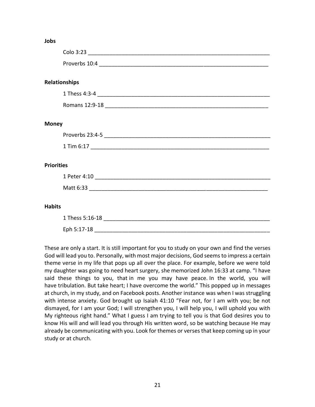#### **Jobs**

|                   | <b>Relationships</b> |
|-------------------|----------------------|
|                   |                      |
|                   |                      |
|                   |                      |
| <b>Money</b>      |                      |
|                   |                      |
|                   |                      |
|                   |                      |
| <b>Priorities</b> |                      |
|                   |                      |
|                   |                      |
|                   |                      |
| <b>Habits</b>     |                      |
|                   | 1 Thess 5:16-18      |
|                   |                      |

These are only a start. It is still important for you to study on your own and find the verses God will lead you to. Personally, with most major decisions, God seems to impress a certain theme verse in my life that pops up all over the place. For example, before we were told my daughter was going to need heart surgery, she memorized John 16:33 at camp. "I have said these things to you, that in me you may have peace. In the world, you will have tribulation. But take heart; I have overcome the world." This popped up in messages at church, in my study, and on Facebook posts. Another instance was when I was struggling with intense anxiety. God brought up Isaiah 41:10 "Fear not, for I am with you; be not dismayed, for I am your God; I will strengthen you, I will help you, I will uphold you with My righteous right hand." What I guess I am trying to tell you is that God desires you to know His will and will lead you through His written word, so be watching because He may already be communicating with you. Look for themes or verses that keep coming up in your study or at church.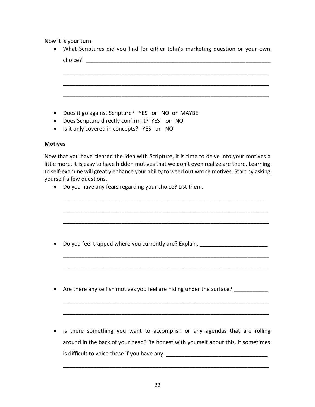Now it is your turn.

| • What Scriptures did you find for either John's marketing question or your own |
|---------------------------------------------------------------------------------|
| choice?                                                                         |
|                                                                                 |
|                                                                                 |
|                                                                                 |
|                                                                                 |
|                                                                                 |

- Does it go against Scripture? YES or NO or MAYBE
- Does Scripture directly confirm it? YES or NO
- Is it only covered in concepts? YES or NO

### **Motives**

Now that you have cleared the idea with Scripture, it is time to delve into your motives a little more. It is easy to have hidden motives that we don't even realize are there. Learning to self-examine will greatly enhance your ability to weed out wrong motives. Start by asking yourself a few questions.

\_\_\_\_\_\_\_\_\_\_\_\_\_\_\_\_\_\_\_\_\_\_\_\_\_\_\_\_\_\_\_\_\_\_\_\_\_\_\_\_\_\_\_\_\_\_\_\_\_\_\_\_\_\_\_\_\_\_\_\_\_\_\_\_\_\_\_

\_\_\_\_\_\_\_\_\_\_\_\_\_\_\_\_\_\_\_\_\_\_\_\_\_\_\_\_\_\_\_\_\_\_\_\_\_\_\_\_\_\_\_\_\_\_\_\_\_\_\_\_\_\_\_\_\_\_\_\_\_\_\_\_\_\_\_

- Do you have any fears regarding your choice? List them.
- \_\_\_\_\_\_\_\_\_\_\_\_\_\_\_\_\_\_\_\_\_\_\_\_\_\_\_\_\_\_\_\_\_\_\_\_\_\_\_\_\_\_\_\_\_\_\_\_\_\_\_\_\_\_\_\_\_\_\_\_\_\_\_\_\_\_\_ • Do you feel trapped where you currently are? Explain. \_\_\_\_\_\_\_\_\_\_\_\_\_\_\_\_\_\_\_\_\_\_\_\_\_\_\_\_\_\_\_\_\_\_\_\_\_\_\_\_\_\_\_\_\_\_\_\_\_\_\_\_\_\_\_\_\_\_\_\_\_\_\_\_\_\_\_ \_\_\_\_\_\_\_\_\_\_\_\_\_\_\_\_\_\_\_\_\_\_\_\_\_\_\_\_\_\_\_\_\_\_\_\_\_\_\_\_\_\_\_\_\_\_\_\_\_\_\_\_\_\_\_\_\_\_\_\_\_\_\_\_\_\_\_ • Are there any selfish motives you feel are hiding under the surface? \_\_\_\_\_\_\_\_\_\_\_\_\_\_\_\_\_\_\_\_\_\_\_\_\_\_\_\_\_\_\_\_\_\_\_\_\_\_\_\_\_\_\_\_\_\_\_\_\_\_\_\_\_\_\_\_\_\_\_\_\_\_\_\_\_\_\_ \_\_\_\_\_\_\_\_\_\_\_\_\_\_\_\_\_\_\_\_\_\_\_\_\_\_\_\_\_\_\_\_\_\_\_\_\_\_\_\_\_\_\_\_\_\_\_\_\_\_\_\_\_\_\_\_\_\_\_\_\_\_\_\_\_\_\_
	- Is there something you want to accomplish or any agendas that are rolling around in the back of your head? Be honest with yourself about this, it sometimes is difficult to voice these if you have any. \_\_\_\_\_\_\_\_\_\_\_\_\_\_\_\_\_\_\_\_\_\_\_\_\_\_\_\_\_\_\_\_\_\_\_

\_\_\_\_\_\_\_\_\_\_\_\_\_\_\_\_\_\_\_\_\_\_\_\_\_\_\_\_\_\_\_\_\_\_\_\_\_\_\_\_\_\_\_\_\_\_\_\_\_\_\_\_\_\_\_\_\_\_\_\_\_\_\_\_\_\_\_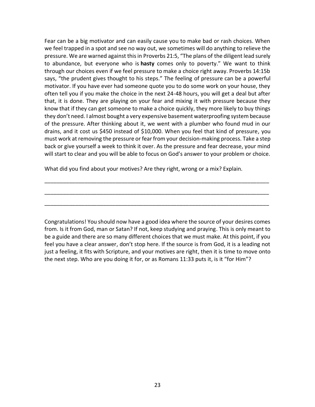Fear can be a big motivator and can easily cause you to make bad or rash choices. When we feel trapped in a spot and see no way out, we sometimes will do anything to relieve the pressure. We are warned against this in Proverbs 21:5, "The plans of the diligent lead surely to abundance, but everyone who is **hasty** comes only to poverty." We want to think through our choices even if we feel pressure to make a choice right away. Proverbs 14:15b says, "the prudent gives thought to his steps." The feeling of pressure can be a powerful motivator. If you have ever had someone quote you to do some work on your house, they often tell you if you make the choice in the next 24-48 hours, you will get a deal but after that, it is done. They are playing on your fear and mixing it with pressure because they know that if they can get someone to make a choice quickly, they more likely to buy things they don't need. I almost bought a very expensive basement waterproofing system because of the pressure. After thinking about it, we went with a plumber who found mud in our drains, and it cost us \$450 instead of \$10,000. When you feel that kind of pressure, you must work at removing the pressure or fear from your decision-making process. Take a step back or give yourself a week to think it over. As the pressure and fear decrease, your mind will start to clear and you will be able to focus on God's answer to your problem or choice.

What did you find about your motives? Are they right, wrong or a mix? Explain.

Congratulations! You should now have a good idea where the source of your desires comes from. Is it from God, man or Satan? If not, keep studying and praying. This is only meant to be a guide and there are so many different choices that we must make. At this point, if you feel you have a clear answer, don't stop here. If the source is from God, it is a leading not just a feeling, it fits with Scripture, and your motives are right, then it is time to move onto the next step. Who are you doing it for, or as Romans 11:33 puts it, is it "for Him"?

\_\_\_\_\_\_\_\_\_\_\_\_\_\_\_\_\_\_\_\_\_\_\_\_\_\_\_\_\_\_\_\_\_\_\_\_\_\_\_\_\_\_\_\_\_\_\_\_\_\_\_\_\_\_\_\_\_\_\_\_\_\_\_\_\_\_\_\_\_\_\_\_\_

\_\_\_\_\_\_\_\_\_\_\_\_\_\_\_\_\_\_\_\_\_\_\_\_\_\_\_\_\_\_\_\_\_\_\_\_\_\_\_\_\_\_\_\_\_\_\_\_\_\_\_\_\_\_\_\_\_\_\_\_\_\_\_\_\_\_\_\_\_\_\_\_\_

\_\_\_\_\_\_\_\_\_\_\_\_\_\_\_\_\_\_\_\_\_\_\_\_\_\_\_\_\_\_\_\_\_\_\_\_\_\_\_\_\_\_\_\_\_\_\_\_\_\_\_\_\_\_\_\_\_\_\_\_\_\_\_\_\_\_\_\_\_\_\_\_\_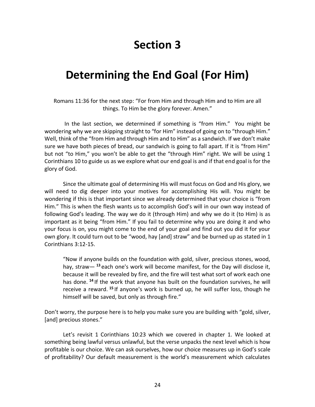# **Section 3**

### **Determining the End Goal (For Him)**

Romans 11:36 for the next step: "For from Him and through Him and to Him are all things. To Him be the glory forever. Amen."

In the last section, we determined if something is "from Him." You might be wondering why we are skipping straight to "for Him" instead of going on to "through Him." Well, think of the "from Him and through Him and to Him" as a sandwich. If we don't make sure we have both pieces of bread, our sandwich is going to fall apart. If it is "from Him" but not "to Him," you won't be able to get the "through Him" right. We will be using 1 Corinthians 10 to guide us as we explore what our end goal is and if that end goal is for the glory of God.

Since the ultimate goal of determining His will must focus on God and His glory, we will need to dig deeper into your motives for accomplishing His will. You might be wondering if this is that important since we already determined that your choice is "from Him." This is when the flesh wants us to accomplish God's will in our own way instead of following God's leading. The way we do it (through Him) and why we do it (to Him) is as important as it being "from Him." If you fail to determine why you are doing it and who your focus is on, you might come to the end of your goal and find out you did it for your own glory. It could turn out to be "wood, hay [and] straw" and be burned up as stated in 1 Corinthians 3:12-15.

"Now if anyone builds on the foundation with gold, silver, precious stones, wood, hay, straw— **<sup>13</sup>** each one's work will become manifest, for the Day will disclose it, because it will be revealed by fire, and the fire will test what sort of work each one has done. **<sup>14</sup>** If the work that anyone has built on the foundation survives, he will receive a reward. **<sup>15</sup>** If anyone's work is burned up, he will suffer loss, though he himself will be saved, but only as through fire."

Don't worry, the purpose here is to help you make sure you are building with "gold, silver, [and] precious stones."

Let's revisit 1 Corinthians 10:23 which we covered in chapter 1. We looked at something being lawful versus unlawful, but the verse unpacks the next level which is how profitable is our choice. We can ask ourselves, how our choice measures up in God's scale of profitability? Our default measurement is the world's measurement which calculates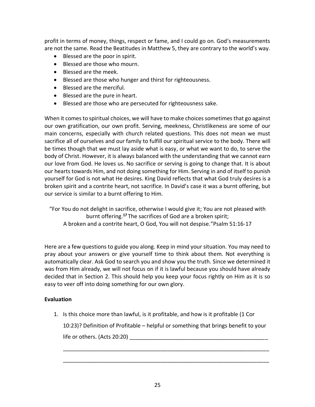profit in terms of money, things, respect or fame, and I could go on. God's measurements are not the same. Read the Beatitudes in Matthew 5, they are contrary to the world's way.

- Blessed are the poor in spirit.
- Blessed are those who mourn.
- Blessed are the meek.
- Blessed are those who hunger and thirst for righteousness.
- Blessed are the merciful.
- Blessed are the pure in heart.
- Blessed are those who are persecuted for righteousness sake.

When it comes to spiritual choices, we will have to make choices sometimes that go against our own gratification, our own profit. Serving, meekness, Christlikeness are some of our main concerns, especially with church related questions. This does not mean we must sacrifice all of ourselves and our family to fulfill our spiritual service to the body. There will be times though that we must lay aside what is easy, or what we want to do, to serve the body of Christ. However, it is always balanced with the understanding that we cannot earn our love from God. He loves us. No sacrifice or serving is going to change that. It is about our hearts towards Him, and not doing something for Him. Serving in and of itself to punish yourself for God is not what He desires. King David reflects that what God truly desires is a broken spirit and a contrite heart, not sacrifice. In David's case it was a burnt offering, but our service is similar to a burnt offering to Him.

"For You do not delight in sacrifice, otherwise I would give it; You are not pleased with burnt offering.**<sup>17</sup>** The sacrifices of God are a broken spirit; A broken and a contrite heart, O God, You will not despise."Psalm 51:16-17

Here are a few questions to guide you along. Keep in mind your situation. You may need to pray about your answers or give yourself time to think about them. Not everything is automatically clear. Ask God to search you and show you the truth. Since we determined it was from Him already, we will not focus on if it is lawful because you should have already decided that in Section 2. This should help you keep your focus rightly on Him as it is so easy to veer off into doing something for our own glory.

### **Evaluation**

1. Is this choice more than lawful, is it profitable, and how is it profitable (1 Cor 10:23)? Definition of Profitable – helpful or something that brings benefit to your life or others.  $(Acts 20:20)$ 

\_\_\_\_\_\_\_\_\_\_\_\_\_\_\_\_\_\_\_\_\_\_\_\_\_\_\_\_\_\_\_\_\_\_\_\_\_\_\_\_\_\_\_\_\_\_\_\_\_\_\_\_\_\_\_\_\_\_\_\_\_\_\_\_\_\_\_

\_\_\_\_\_\_\_\_\_\_\_\_\_\_\_\_\_\_\_\_\_\_\_\_\_\_\_\_\_\_\_\_\_\_\_\_\_\_\_\_\_\_\_\_\_\_\_\_\_\_\_\_\_\_\_\_\_\_\_\_\_\_\_\_\_\_\_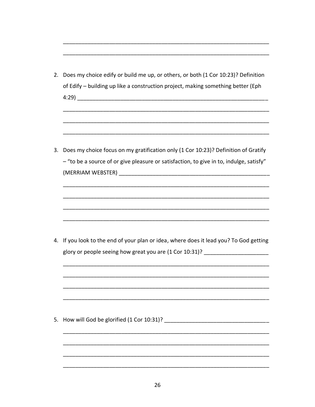2. Does my choice edify or build me up, or others, or both (1 Cor 10:23)? Definition of Edify - building up like a construction project, making something better (Eph 

3. Does my choice focus on my gratification only (1 Cor 10:23)? Definition of Gratify - "to be a source of or give pleasure or satisfaction, to give in to, indulge, satisfy" (MERRIAM WEBSTER)

4. If you look to the end of your plan or idea, where does it lead you? To God getting glory or people seeing how great you are (1 Cor 10:31)? \_\_\_\_\_\_\_\_\_\_\_\_\_\_\_\_\_\_\_\_\_\_\_\_

5. How will God be glorified (1 Cor 10:31)?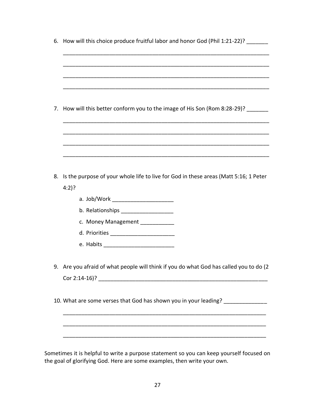|         | 6. How will this choice produce fruitful labor and honor God (Phil 1:21-22)?           |
|---------|----------------------------------------------------------------------------------------|
|         |                                                                                        |
|         |                                                                                        |
|         |                                                                                        |
| 7.      | How will this better conform you to the image of His Son (Rom 8:28-29)? _______        |
|         |                                                                                        |
|         |                                                                                        |
| 8.      | Is the purpose of your whole life to live for God in these areas (Matt 5:16; 1 Peter   |
| $4:2$ ? |                                                                                        |
|         | a. Job/Work ________________________                                                   |
|         | b. Relationships ____________________                                                  |
|         | c. Money Management ___________                                                        |
|         |                                                                                        |
|         |                                                                                        |
|         | 9. Are you afraid of what people will think if you do what God has called you to do (2 |
|         |                                                                                        |
|         | 10. What are some verses that God has shown you in your leading? ______________        |
|         |                                                                                        |
|         |                                                                                        |
|         |                                                                                        |

Sometimes it is helpful to write a purpose statement so you can keep yourself focused on the goal of glorifying God. Here are some examples, then write your own.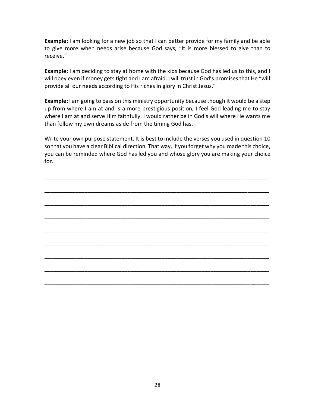**Example:** I am looking for a new job so that I can better provide for my family and be able to give more when needs arise because God says, "It is more blessed to give than to receive."

**Example:** I am deciding to stay at home with the kids because God has led us to this, and I will obey even if money gets tight and I am afraid. I will trust in God's promises that He "will provide all our needs according to His riches in glory in Christ Jesus."

**Example:** I am going to pass on this ministry opportunity because though it would be a step up from where I am at and is a more prestigious position, I feel God leading me to stay where I am at and serve Him faithfully. I would rather be in God's will where He wants me than follow my own dreams aside from the timing God has.

Write your own purpose statement. It is best to include the verses you used in question 10 so that you have a clear Biblical direction. That way, if you forget why you made this choice, you can be reminded where God has led you and whose glory you are making your choice for.

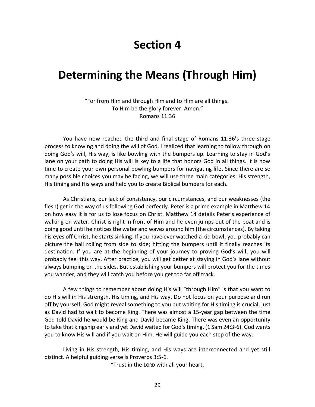### **Section 4**

### **Determining the Means (Through Him)**

"For from Him and through Him and to Him are all things. To Him be the glory forever. Amen." Romans 11:36

You have now reached the third and final stage of Romans 11:36's three-stage process to knowing and doing the will of God. I realized that learning to follow through on doing God's will, His way, is like bowling with the bumpers up. Learning to stay in God's lane on your path to doing His will is key to a life that honors God in all things. It is now time to create your own personal bowling bumpers for navigating life. Since there are so many possible choices you may be facing, we will use three main categories: His strength, His timing and His ways and help you to create Biblical bumpers for each.

As Christians, our lack of consistency, our circumstances, and our weaknesses (the flesh) get in the way of us following God perfectly. Peter is a prime example in Matthew 14 on how easy it is for us to lose focus on Christ. Matthew 14 details Peter's experience of walking on water. Christ is right in front of Him and he even jumps out of the boat and is doing good until he notices the water and waves around him (the circumstances). By taking his eyes off Christ, he starts sinking. If you have ever watched a kid bowl, you probably can picture the ball rolling from side to side; hitting the bumpers until it finally reaches its destination. If you are at the beginning of your journey to proving God's will, you will probably feel this way. After practice, you will get better at staying in God's lane without always bumping on the sides. But establishing your bumpers will protect you for the times you wander, and they will catch you before you get too far off track.

A few things to remember about doing His will "through Him" is that you want to do His will in His strength, His timing, and His way. Do not focus on your purpose and run off by yourself. God might reveal something to you but waiting for His timing is crucial, just as David had to wait to become King. There was almost a 15-year gap between the time God told David he would be King and David became King. There was even an opportunity to take that kingship early and yet David waited for God's timing. (1 Sam 24:3-6). God wants you to know His will and if you wait on Him, He will guide you each step of the way.

Living in His strength, His timing, and His ways are interconnected and yet still distinct. A helpful guiding verse is Proverbs 3:5-6.

"Trust in the LORD with all your heart,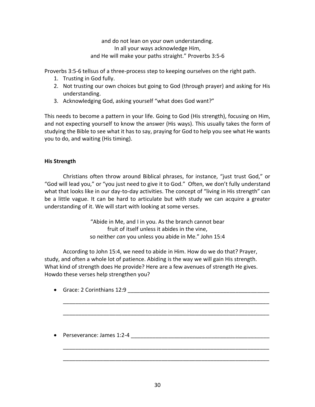and do not lean on your own understanding. In all your ways acknowledge Him, and He will make your paths straight." Proverbs 3:5-6

Proverbs 3:5-6 tellsus of a three-process step to keeping ourselves on the right path.

- 1. Trusting in God fully.
- 2. Not trusting our own choices but going to God (through prayer) and asking for His understanding.
- 3. Acknowledging God, asking yourself "what does God want?"

This needs to become a pattern in your life. Going to God (His strength), focusing on Him, and not expecting yourself to know the answer (His ways). This usually takes the form of studying the Bible to see what it has to say, praying for God to help you see what He wants you to do, and waiting (His timing).

### **His Strength**

Christians often throw around Biblical phrases, for instance, "just trust God," or "God will lead you," or "you just need to give it to God." Often, we don't fully understand what that looks like in our day-to-day activities. The concept of "living in His strength" can be a little vague. It can be hard to articulate but with study we can acquire a greater understanding of it. We will start with looking at some verses.

> "Abide in Me, and I in you. As the branch cannot bear fruit of itself unless it abides in the vine, so neither *can* you unless you abide in Me." John 15:4

According to John 15:4, we need to abide in Him. How do we do that? Prayer, study, and often a whole lot of patience. Abiding is the way we will gain His strength. What kind of strength does He provide? Here are a few avenues of strength He gives. Howdo these verses help strengthen you?

• Grace: 2 Corinthians 12:9

\_\_\_\_\_\_\_\_\_\_\_\_\_\_\_\_\_\_\_\_\_\_\_\_\_\_\_\_\_\_\_\_\_\_\_\_\_\_\_\_\_\_\_\_\_\_\_\_\_\_\_\_\_\_\_\_\_\_\_\_\_\_\_\_\_\_\_

\_\_\_\_\_\_\_\_\_\_\_\_\_\_\_\_\_\_\_\_\_\_\_\_\_\_\_\_\_\_\_\_\_\_\_\_\_\_\_\_\_\_\_\_\_\_\_\_\_\_\_\_\_\_\_\_\_\_\_\_\_\_\_\_\_\_\_

\_\_\_\_\_\_\_\_\_\_\_\_\_\_\_\_\_\_\_\_\_\_\_\_\_\_\_\_\_\_\_\_\_\_\_\_\_\_\_\_\_\_\_\_\_\_\_\_\_\_\_\_\_\_\_\_\_\_\_\_\_\_\_\_\_\_\_

\_\_\_\_\_\_\_\_\_\_\_\_\_\_\_\_\_\_\_\_\_\_\_\_\_\_\_\_\_\_\_\_\_\_\_\_\_\_\_\_\_\_\_\_\_\_\_\_\_\_\_\_\_\_\_\_\_\_\_\_\_\_\_\_\_\_\_

• Perseverance: James 1:2-4 \_\_\_\_\_\_\_\_\_\_\_\_\_\_\_\_\_\_\_\_\_\_\_\_\_\_\_\_\_\_\_\_\_\_\_\_\_\_\_\_\_\_\_\_\_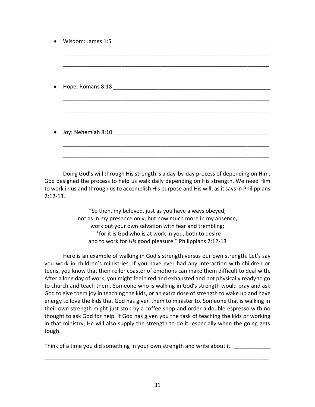| $\bullet$ |  |
|-----------|--|
|           |  |
|           |  |
|           |  |
|           |  |
| ٠         |  |
|           |  |
|           |  |
|           |  |
|           |  |
|           |  |
| $\bullet$ |  |
|           |  |
|           |  |
|           |  |

Doing God's will through His strength is a day-by-day process of depending on Him. God designed the process to help us walk daily depending on His strength. We need Him to work in us and through us to accomplish His purpose and His will, as it says in Philippians 2:12-13.

> "So then, my beloved, just as you have always obeyed, not as in my presence only, but now much more in my absence, work out your own salvation with fear and trembling;  $13$  for it is God who is at work in you, both to desire and to work for *His* good pleasure." Philippians 2:12-13

Here is an example of walking in God's strength versus our own strength. Let's say you work in children's ministries. If you have ever had any interaction with children or teens, you know that their roller coaster of emotions can make them difficult to deal with. After a long day of work, you might feel tired and exhausted and not physically ready to go to church and teach them. Someone who is walking in God's strength would pray and ask God to give them joy in teaching the kids, or an extra dose of strength to wake up and have energy to love the kids that God has given them to minister to. Someone that is walking in their own strength might just stop by a coffee shop and order a double espresso with no thought to ask God for help. If God has given you the task of teaching the kids or working in that ministry, He will also supply the strength to do it; especially when the going gets tough.

Think of a time you did something in your own strength and write about it.

\_\_\_\_\_\_\_\_\_\_\_\_\_\_\_\_\_\_\_\_\_\_\_\_\_\_\_\_\_\_\_\_\_\_\_\_\_\_\_\_\_\_\_\_\_\_\_\_\_\_\_\_\_\_\_\_\_\_\_\_\_\_\_\_\_\_\_\_\_\_\_\_\_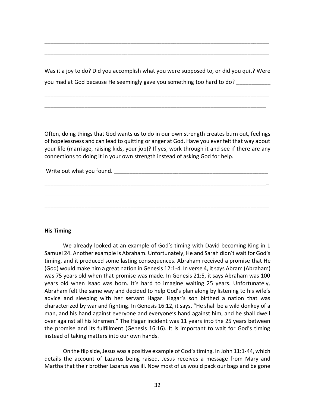Was it a joy to do? Did you accomplish what you were supposed to, or did you quit? Were you mad at God because He seemingly gave you something too hard to do?

\_\_\_\_\_\_\_\_\_\_\_\_\_\_\_\_\_\_\_\_\_\_\_\_\_\_\_\_\_\_\_\_\_\_\_\_\_\_\_\_\_\_\_\_\_\_\_\_\_\_\_\_\_\_\_\_\_\_\_\_\_\_\_\_\_\_\_\_\_\_\_\_\_

\_\_\_\_\_\_\_\_\_\_\_\_\_\_\_\_\_\_\_\_\_\_\_\_\_\_\_\_\_\_\_\_\_\_\_\_\_\_\_\_\_\_\_\_\_\_\_\_\_\_\_\_\_\_\_\_\_\_\_\_\_\_\_\_\_\_\_\_\_\_\_\_\_

\_\_\_\_\_\_\_\_\_\_\_\_\_\_\_\_\_\_\_\_\_\_\_\_\_\_\_\_\_\_\_\_\_\_\_\_\_\_\_\_\_\_\_\_\_\_\_\_\_\_\_\_\_\_\_\_\_\_\_\_\_\_\_\_\_\_\_\_\_\_\_\_\_

\_\_\_\_\_\_\_\_\_\_\_\_\_\_\_\_\_\_\_\_\_\_\_\_\_\_\_\_\_\_\_\_\_\_\_\_\_\_\_\_\_\_\_\_\_\_\_\_\_\_\_\_\_\_\_\_\_\_\_\_\_\_\_\_\_\_\_\_\_\_\_\_\_

\_\_\_\_\_\_\_\_\_\_\_\_\_\_\_\_\_\_\_\_\_\_\_\_\_\_\_\_\_\_\_\_\_\_\_\_\_\_\_\_\_\_\_\_\_\_\_\_\_\_\_\_\_\_\_\_\_\_\_\_\_\_\_\_\_\_\_\_\_\_\_\_\_

Often, doing things that God wants us to do in our own strength creates burn out, feelings of hopelessness and can lead to quitting or anger at God. Have you ever felt that way about your life (marriage, raising kids, your job)? If yes, work through it and see if there are any connections to doing it in your own strength instead of asking God for help.

\_\_\_\_\_\_\_\_\_\_\_\_\_\_\_\_\_\_\_\_\_\_\_\_\_\_\_\_\_\_\_\_\_\_\_\_\_\_\_\_\_\_\_\_\_\_\_\_\_\_\_\_\_\_\_\_\_\_\_\_\_\_\_\_\_\_\_\_\_\_\_\_\_

\_\_\_\_\_\_\_\_\_\_\_\_\_\_\_\_\_\_\_\_\_\_\_\_\_\_\_\_\_\_\_\_\_\_\_\_\_\_\_\_\_\_\_\_\_\_\_\_\_\_\_\_\_\_\_\_\_\_\_\_\_\_\_\_\_\_\_\_\_\_\_\_\_

\_\_\_\_\_\_\_\_\_\_\_\_\_\_\_\_\_\_\_\_\_\_\_\_\_\_\_\_\_\_\_\_\_\_\_\_\_\_\_\_\_\_\_\_\_\_\_\_\_\_\_\_\_\_\_\_\_\_\_\_\_\_\_\_\_\_\_\_\_\_\_\_\_

Write out what you found. The same of the same of the same of the same of the same of the same of the same of the same of the same of the same of the same of the same of the same of the same of the same of the same of the

#### **His Timing**

We already looked at an example of God's timing with David becoming King in 1 Samuel 24. Another example is Abraham. Unfortunately, He and Sarah didn't wait for God's timing, and it produced some lasting consequences. Abraham received a promise that He (God) would make him a great nation in Genesis 12:1-4. In verse 4, it says Abram (Abraham) was 75 years old when that promise was made. In Genesis 21:5, it says Abraham was 100 years old when Isaac was born. It's hard to imagine waiting 25 years. Unfortunately, Abraham felt the same way and decided to help God's plan along by listening to his wife's advice and sleeping with her servant Hagar. Hagar's son birthed a nation that was characterized by war and fighting. In Genesis 16:12, it says, "He shall be a wild donkey of a man, and his hand against everyone and everyone's hand against him, and he shall dwell over against all his kinsmen." The Hagar incident was 11 years into the 25 years between the promise and its fulfillment (Genesis 16:16). It is important to wait for God's timing instead of taking matters into our own hands.

On the flip side, Jesus was a positive example of God's timing. In John 11:1-44, which details the account of Lazarus being raised, Jesus receives a message from Mary and Martha that their brother Lazarus was ill. Now most of us would pack our bags and be gone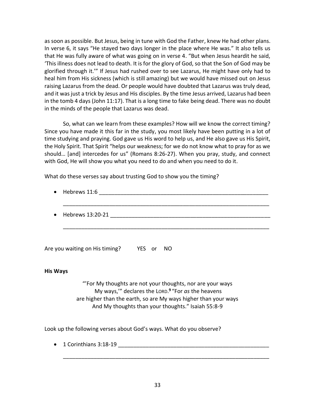as soon as possible. But Jesus, being in tune with God the Father, knew He had other plans. In verse 6, it says "He stayed two days longer in the place where He was." It also tells us that He was fully aware of what was going on in verse 4. "But when Jesus heardit he said, 'This illness does not lead to death. It is for the glory of God, so that the Son of God may be glorified through it.'" If Jesus had rushed over to see Lazarus, He might have only had to heal him from His sickness (which is still amazing) but we would have missed out on Jesus raising Lazarus from the dead. Or people would have doubted that Lazarus was truly dead, and it was just a trick by Jesus and His disciples. By the time Jesus arrived, Lazarus had been in the tomb 4 days (John 11:17). That is a long time to fake being dead. There was no doubt in the minds of the people that Lazarus was dead.

So, what can we learn from these examples? How will we know the correct timing? Since you have made it this far in the study, you most likely have been putting in a lot of time studying and praying. God gave us His word to help us, and He also gave us His Spirit, the Holy Spirit. That Spirit "helps our weakness; for we do not know what to pray for as we should… [and] intercedes for us" (Romans 8:26-27). When you pray, study, and connect with God, He will show you what you need to do and when you need to do it.

What do these verses say about trusting God to show you the timing?

| $\bullet$ Hebrews 11:6     |
|----------------------------|
| $\bullet$ Hebrews 13:20-21 |
|                            |

Are you waiting on His timing? YES or NO

### **His Ways**

"'For My thoughts are not your thoughts, nor are your ways My ways,'" declares the LORD. **9** "For *as* the heavens are higher than the earth, so are My ways higher than your ways And My thoughts than your thoughts." Isaiah 55:8-9

Look up the following verses about God's ways. What do you observe?

• 1 Corinthians 3:18-19  $\frac{1}{2}$ 

\_\_\_\_\_\_\_\_\_\_\_\_\_\_\_\_\_\_\_\_\_\_\_\_\_\_\_\_\_\_\_\_\_\_\_\_\_\_\_\_\_\_\_\_\_\_\_\_\_\_\_\_\_\_\_\_\_\_\_\_\_\_\_\_\_\_\_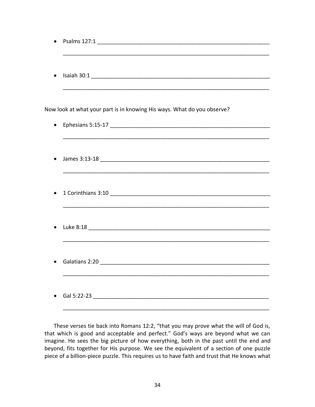| ٠ |                                                                         |
|---|-------------------------------------------------------------------------|
|   |                                                                         |
|   | Now look at what your part is in knowing His ways. What do you observe? |
| ٠ |                                                                         |
|   |                                                                         |
|   |                                                                         |
|   |                                                                         |
|   |                                                                         |
|   |                                                                         |
|   |                                                                         |
|   |                                                                         |
|   |                                                                         |
|   |                                                                         |
|   |                                                                         |
|   |                                                                         |

These verses tie back into Romans 12:2, "that you may prove what the will of God is, that which is good and acceptable and perfect." God's ways are beyond what we can imagine. He sees the big picture of how everything, both in the past until the end and beyond, fits together for His purpose. We see the equivalent of a section of one puzzle piece of a billion-piece puzzle. This requires us to have faith and trust that He knows what